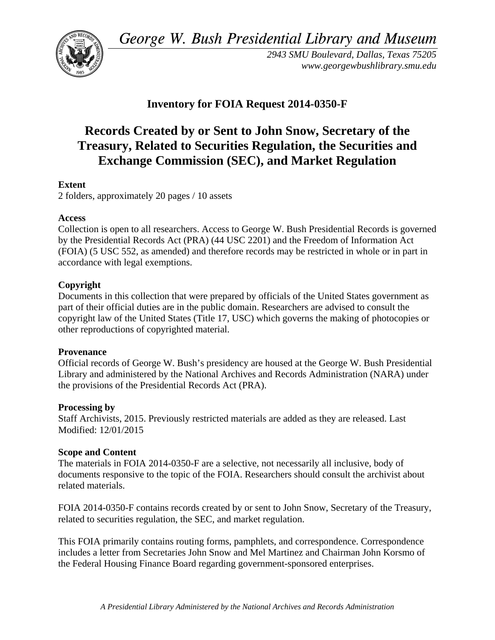*George W. Bush Presidential Library and Museum* 



*2943 SMU Boulevard, Dallas, Texas 75205 www.georgewbushlibrary.smu.edu* 

### **Inventory for FOIA Request 2014-0350-F**

# **Records Created by or Sent to John Snow, Secretary of the Treasury, Related to Securities Regulation, the Securities and Exchange Commission (SEC), and Market Regulation**

### **Extent**

2 folders, approximately 20 pages / 10 assets

### **Access**

Collection is open to all researchers. Access to George W. Bush Presidential Records is governed by the Presidential Records Act (PRA) (44 USC 2201) and the Freedom of Information Act (FOIA) (5 USC 552, as amended) and therefore records may be restricted in whole or in part in accordance with legal exemptions.

### **Copyright**

Documents in this collection that were prepared by officials of the United States government as part of their official duties are in the public domain. Researchers are advised to consult the copyright law of the United States (Title 17, USC) which governs the making of photocopies or other reproductions of copyrighted material.

### **Provenance**

Official records of George W. Bush's presidency are housed at the George W. Bush Presidential Library and administered by the National Archives and Records Administration (NARA) under the provisions of the Presidential Records Act (PRA).

### **Processing by**

Staff Archivists, 2015. Previously restricted materials are added as they are released. Last Modified: 12/01/2015

### **Scope and Content**

The materials in FOIA 2014-0350-F are a selective, not necessarily all inclusive, body of documents responsive to the topic of the FOIA. Researchers should consult the archivist about related materials.

FOIA 2014-0350-F contains records created by or sent to John Snow, Secretary of the Treasury, related to securities regulation, the SEC, and market regulation.

This FOIA primarily contains routing forms, pamphlets, and correspondence. Correspondence includes a letter from Secretaries John Snow and Mel Martinez and Chairman John Korsmo of the Federal Housing Finance Board regarding government-sponsored enterprises.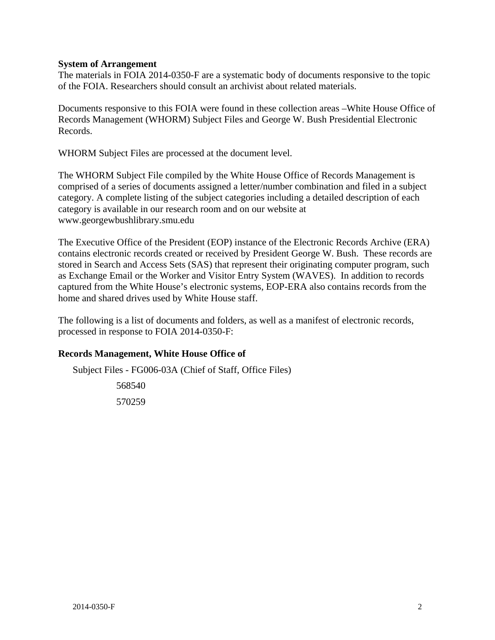#### **System of Arrangement**

The materials in FOIA 2014-0350-F are a systematic body of documents responsive to the topic of the FOIA. Researchers should consult an archivist about related materials.

Documents responsive to this FOIA were found in these collection areas –White House Office of Records Management (WHORM) Subject Files and George W. Bush Presidential Electronic Records.

WHORM Subject Files are processed at the document level.

The WHORM Subject File compiled by the White House Office of Records Management is comprised of a series of documents assigned a letter/number combination and filed in a subject category. A complete listing of the subject categories including a detailed description of each category is available in our research room and on our website at www.georgewbushlibrary.smu.edu

The Executive Office of the President (EOP) instance of the Electronic Records Archive (ERA) contains electronic records created or received by President George W. Bush. These records are stored in Search and Access Sets (SAS) that represent their originating computer program, such as Exchange Email or the Worker and Visitor Entry System (WAVES). In addition to records captured from the White House's electronic systems, EOP-ERA also contains records from the home and shared drives used by White House staff.

The following is a list of documents and folders, as well as a manifest of electronic records, processed in response to FOIA 2014-0350-F:

### **Records Management, White House Office of**

Subject Files - FG006-03A (Chief of Staff, Office Files)

 568540 570259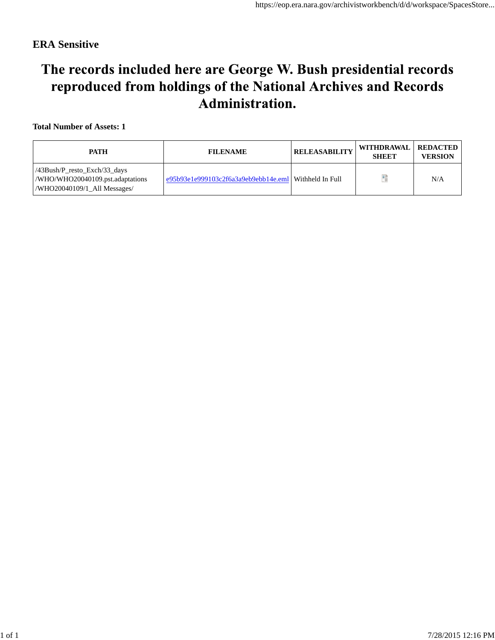### **ERA Sensitive**

# The records included here are George W. Bush presidential records reproduced from holdings of the National Archives and Records Administration.

#### **Total Number of Assets: 1**

| PATH                                                                                                  | <b>FILENAME</b>                                                | <b>RELEASABILITY</b> | WITHDRAWAL   REDACTED<br><b>SHEET</b> | <b>VERSION</b> |
|-------------------------------------------------------------------------------------------------------|----------------------------------------------------------------|----------------------|---------------------------------------|----------------|
| $/43Bush/P$ resto Exch $/33$ days<br>/WHO/WHO20040109.pst.adaptations<br>/WHO20040109/1 All Messages/ | $\leq 95b93e1e999103c2f6a3a9eb9ebb14e.$ eml   Withheld In Full |                      | ÷                                     | N/A            |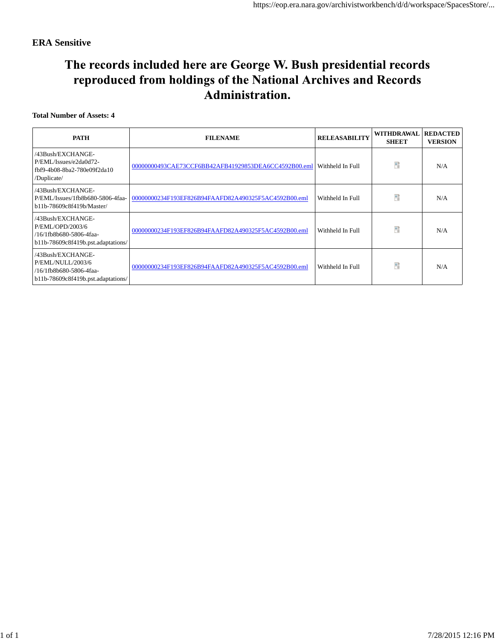### **ERA Sensitive**

# The records included here are George W. Bush presidential records reproduced from holdings of the National Archives and Records Administration.

#### **Total Number of Assets: 4**

| <b>PATH</b>                                                                                             | <b>FILENAME</b>                                      | <b>RELEASABILITY</b> | <b>WITHDRAWAL</b><br><b>SHEET</b> | <b>REDACTED</b><br><b>VERSION</b> |
|---------------------------------------------------------------------------------------------------------|------------------------------------------------------|----------------------|-----------------------------------|-----------------------------------|
| /43Bush/EXCHANGE-<br>P/EML/Issues/e2da0d72-<br>fbf9-4b08-8ba2-780e09f2da10<br>/Duplicate/               | 00000000493CAE73CCF6BB42AFB41929853DEA6CC4592B00.eml | Withheld In Full     | 醋                                 | N/A                               |
| /43Bush/EXCHANGE-<br>P/EML/Issues/1fb8b680-5806-4faa-<br>b11b-78609c8f419b/Master/                      | 00000000234F193EF826B94FAAFD82A490325F5AC4592B00.eml | Withheld In Full     | Đ                                 | N/A                               |
| /43Bush/EXCHANGE-<br>P/EML/OPD/2003/6<br>/16/1fb8b680-5806-4faa-<br>b11b-78609c8f419b.pst.adaptations/  | 00000000234F193EF826B94FAAFD82A490325F5AC4592B00.eml | Withheld In Full     | Ħ                                 | N/A                               |
| /43Bush/EXCHANGE-<br>P/EML/NULL/2003/6<br>/16/1fb8b680-5806-4faa-<br>b11b-78609c8f419b.pst.adaptations/ | 00000000234F193EF826B94FAAFD82A490325F5AC4592B00.eml | Withheld In Full     | 醋                                 | N/A                               |